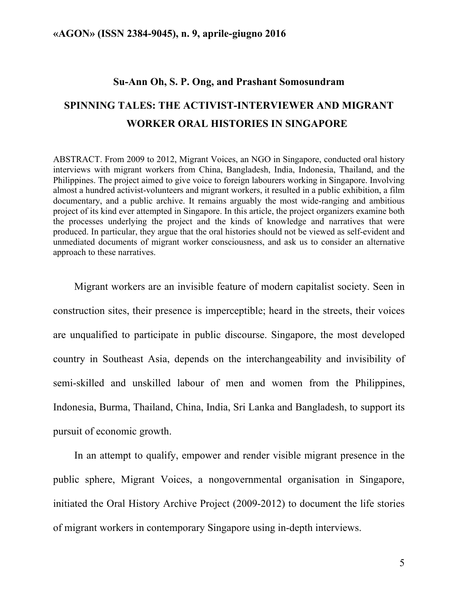### **Su-Ann Oh, S. P. Ong, and Prashant Somosundram**

# **SPINNING TALES: THE ACTIVIST-INTERVIEWER AND MIGRANT WORKER ORAL HISTORIES IN SINGAPORE**

ABSTRACT. From 2009 to 2012, Migrant Voices, an NGO in Singapore, conducted oral history interviews with migrant workers from China, Bangladesh, India, Indonesia, Thailand, and the Philippines. The project aimed to give voice to foreign labourers working in Singapore. Involving almost a hundred activist-volunteers and migrant workers, it resulted in a public exhibition, a film documentary, and a public archive. It remains arguably the most wide-ranging and ambitious project of its kind ever attempted in Singapore. In this article, the project organizers examine both the processes underlying the project and the kinds of knowledge and narratives that were produced. In particular, they argue that the oral histories should not be viewed as self-evident and unmediated documents of migrant worker consciousness, and ask us to consider an alternative approach to these narratives.

Migrant workers are an invisible feature of modern capitalist society. Seen in construction sites, their presence is imperceptible; heard in the streets, their voices are unqualified to participate in public discourse. Singapore, the most developed country in Southeast Asia, depends on the interchangeability and invisibility of semi-skilled and unskilled labour of men and women from the Philippines, Indonesia, Burma, Thailand, China, India, Sri Lanka and Bangladesh, to support its pursuit of economic growth.

In an attempt to qualify, empower and render visible migrant presence in the public sphere, Migrant Voices, a nongovernmental organisation in Singapore, initiated the Oral History Archive Project (2009-2012) to document the life stories of migrant workers in contemporary Singapore using in-depth interviews.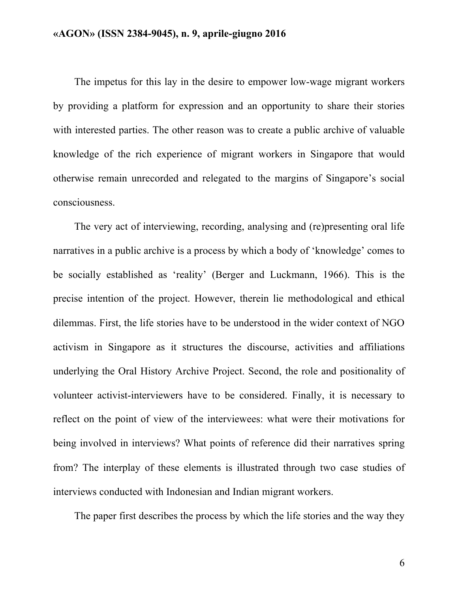The impetus for this lay in the desire to empower low-wage migrant workers by providing a platform for expression and an opportunity to share their stories with interested parties. The other reason was to create a public archive of valuable knowledge of the rich experience of migrant workers in Singapore that would otherwise remain unrecorded and relegated to the margins of Singapore's social consciousness.

The very act of interviewing, recording, analysing and (re)presenting oral life narratives in a public archive is a process by which a body of 'knowledge' comes to be socially established as 'reality' (Berger and Luckmann, 1966). This is the precise intention of the project. However, therein lie methodological and ethical dilemmas. First, the life stories have to be understood in the wider context of NGO activism in Singapore as it structures the discourse, activities and affiliations underlying the Oral History Archive Project. Second, the role and positionality of volunteer activist-interviewers have to be considered. Finally, it is necessary to reflect on the point of view of the interviewees: what were their motivations for being involved in interviews? What points of reference did their narratives spring from? The interplay of these elements is illustrated through two case studies of interviews conducted with Indonesian and Indian migrant workers.

The paper first describes the process by which the life stories and the way they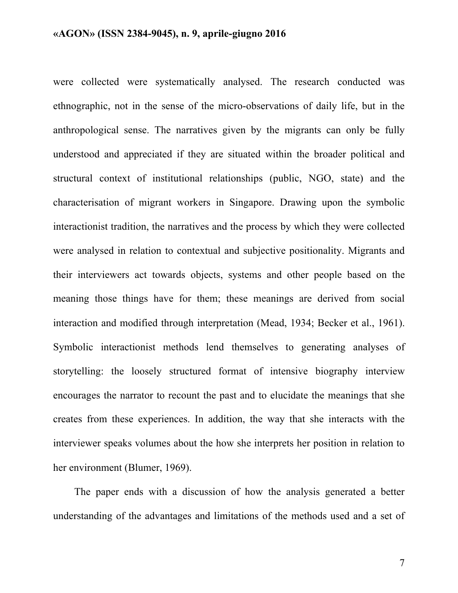were collected were systematically analysed. The research conducted was ethnographic, not in the sense of the micro-observations of daily life, but in the anthropological sense. The narratives given by the migrants can only be fully understood and appreciated if they are situated within the broader political and structural context of institutional relationships (public, NGO, state) and the characterisation of migrant workers in Singapore. Drawing upon the symbolic interactionist tradition, the narratives and the process by which they were collected were analysed in relation to contextual and subjective positionality. Migrants and their interviewers act towards objects, systems and other people based on the meaning those things have for them; these meanings are derived from social interaction and modified through interpretation (Mead, 1934; Becker et al., 1961). Symbolic interactionist methods lend themselves to generating analyses of storytelling: the loosely structured format of intensive biography interview encourages the narrator to recount the past and to elucidate the meanings that she creates from these experiences. In addition, the way that she interacts with the interviewer speaks volumes about the how she interprets her position in relation to her environment (Blumer, 1969).

The paper ends with a discussion of how the analysis generated a better understanding of the advantages and limitations of the methods used and a set of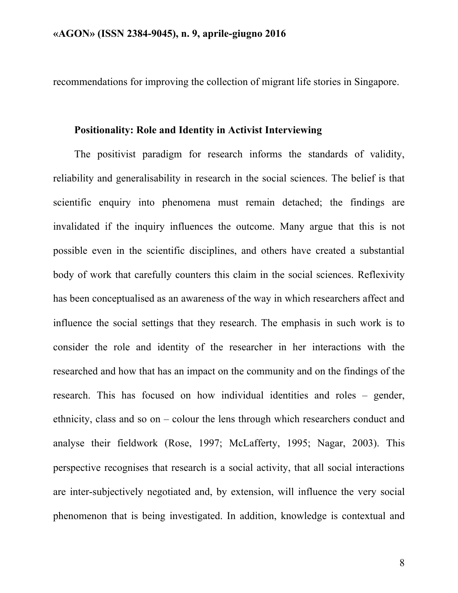recommendations for improving the collection of migrant life stories in Singapore.

#### **Positionality: Role and Identity in Activist Interviewing**

The positivist paradigm for research informs the standards of validity, reliability and generalisability in research in the social sciences. The belief is that scientific enquiry into phenomena must remain detached; the findings are invalidated if the inquiry influences the outcome. Many argue that this is not possible even in the scientific disciplines, and others have created a substantial body of work that carefully counters this claim in the social sciences. Reflexivity has been conceptualised as an awareness of the way in which researchers affect and influence the social settings that they research. The emphasis in such work is to consider the role and identity of the researcher in her interactions with the researched and how that has an impact on the community and on the findings of the research. This has focused on how individual identities and roles – gender, ethnicity, class and so on – colour the lens through which researchers conduct and analyse their fieldwork (Rose, 1997; McLafferty, 1995; Nagar, 2003). This perspective recognises that research is a social activity, that all social interactions are inter-subjectively negotiated and, by extension, will influence the very social phenomenon that is being investigated. In addition, knowledge is contextual and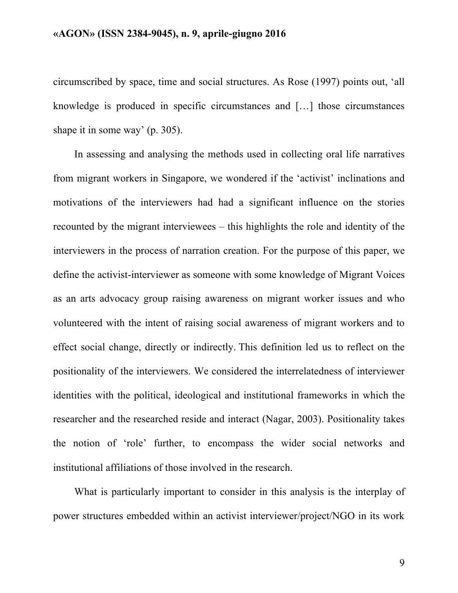circumscribed by space, time and social structures. As Rose (1997) points out, 'all knowledge is produced in specific circumstances and […] those circumstances shape it in some way' (p. 305).

In assessing and analysing the methods used in collecting oral life narratives from migrant workers in Singapore, we wondered if the 'activist' inclinations and motivations of the interviewers had had a significant influence on the stories recounted by the migrant interviewees – this highlights the role and identity of the interviewers in the process of narration creation. For the purpose of this paper, we define the activist-interviewer as someone with some knowledge of Migrant Voices as an arts advocacy group raising awareness on migrant worker issues and who volunteered with the intent of raising social awareness of migrant workers and to effect social change, directly or indirectly. This definition led us to reflect on the positionality of the interviewers. We considered the interrelatedness of interviewer identities with the political, ideological and institutional frameworks in which the researcher and the researched reside and interact (Nagar, 2003). Positionality takes the notion of 'role' further, to encompass the wider social networks and institutional affiliations of those involved in the research.

What is particularly important to consider in this analysis is the interplay of power structures embedded within an activist interviewer/project/NGO in its work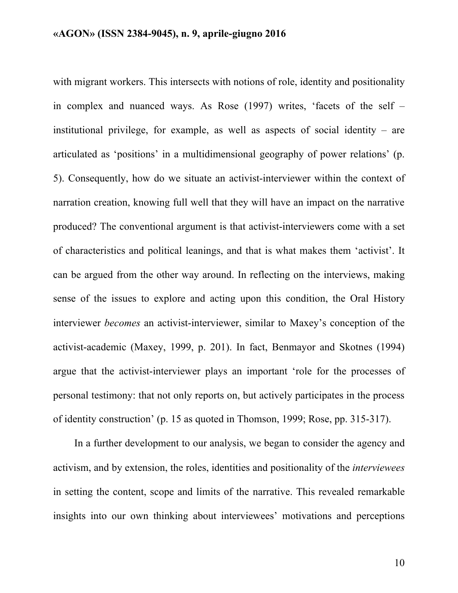with migrant workers. This intersects with notions of role, identity and positionality in complex and nuanced ways. As Rose (1997) writes, 'facets of the self – institutional privilege, for example, as well as aspects of social identity – are articulated as 'positions' in a multidimensional geography of power relations' (p. 5). Consequently, how do we situate an activist-interviewer within the context of narration creation, knowing full well that they will have an impact on the narrative produced? The conventional argument is that activist-interviewers come with a set of characteristics and political leanings, and that is what makes them 'activist'. It can be argued from the other way around. In reflecting on the interviews, making sense of the issues to explore and acting upon this condition, the Oral History interviewer *becomes* an activist-interviewer, similar to Maxey's conception of the activist-academic (Maxey, 1999, p. 201). In fact, Benmayor and Skotnes (1994) argue that the activist-interviewer plays an important 'role for the processes of personal testimony: that not only reports on, but actively participates in the process of identity construction' (p. 15 as quoted in Thomson, 1999; Rose, pp. 315-317).

In a further development to our analysis, we began to consider the agency and activism, and by extension, the roles, identities and positionality of the *interviewees* in setting the content, scope and limits of the narrative. This revealed remarkable insights into our own thinking about interviewees' motivations and perceptions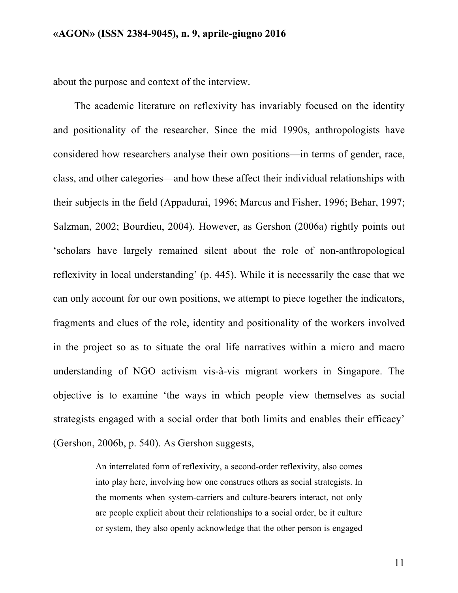about the purpose and context of the interview.

The academic literature on reflexivity has invariably focused on the identity and positionality of the researcher. Since the mid 1990s, anthropologists have considered how researchers analyse their own positions—in terms of gender, race, class, and other categories—and how these affect their individual relationships with their subjects in the field (Appadurai, 1996; Marcus and Fisher, 1996; Behar, 1997; Salzman, 2002; Bourdieu, 2004). However, as Gershon (2006a) rightly points out 'scholars have largely remained silent about the role of non-anthropological reflexivity in local understanding' (p. 445). While it is necessarily the case that we can only account for our own positions, we attempt to piece together the indicators, fragments and clues of the role, identity and positionality of the workers involved in the project so as to situate the oral life narratives within a micro and macro understanding of NGO activism vis-à-vis migrant workers in Singapore. The objective is to examine 'the ways in which people view themselves as social strategists engaged with a social order that both limits and enables their efficacy' (Gershon, 2006b, p. 540). As Gershon suggests,

> An interrelated form of reflexivity, a second-order reflexivity, also comes into play here, involving how one construes others as social strategists. In the moments when system-carriers and culture-bearers interact, not only are people explicit about their relationships to a social order, be it culture or system, they also openly acknowledge that the other person is engaged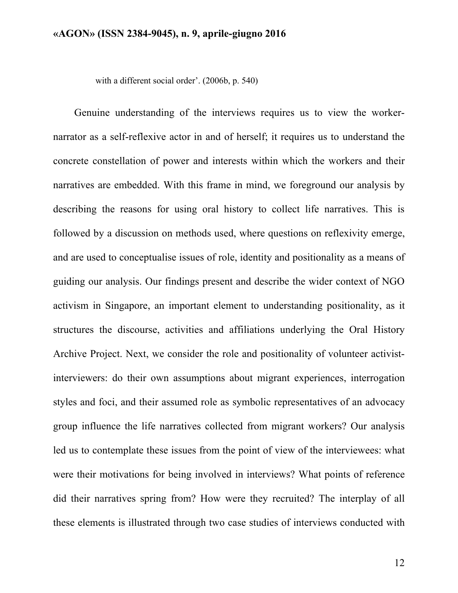with a different social order'. (2006b, p. 540)

Genuine understanding of the interviews requires us to view the workernarrator as a self-reflexive actor in and of herself; it requires us to understand the concrete constellation of power and interests within which the workers and their narratives are embedded. With this frame in mind, we foreground our analysis by describing the reasons for using oral history to collect life narratives. This is followed by a discussion on methods used, where questions on reflexivity emerge, and are used to conceptualise issues of role, identity and positionality as a means of guiding our analysis. Our findings present and describe the wider context of NGO activism in Singapore, an important element to understanding positionality, as it structures the discourse, activities and affiliations underlying the Oral History Archive Project. Next, we consider the role and positionality of volunteer activistinterviewers: do their own assumptions about migrant experiences, interrogation styles and foci, and their assumed role as symbolic representatives of an advocacy group influence the life narratives collected from migrant workers? Our analysis led us to contemplate these issues from the point of view of the interviewees: what were their motivations for being involved in interviews? What points of reference did their narratives spring from? How were they recruited? The interplay of all these elements is illustrated through two case studies of interviews conducted with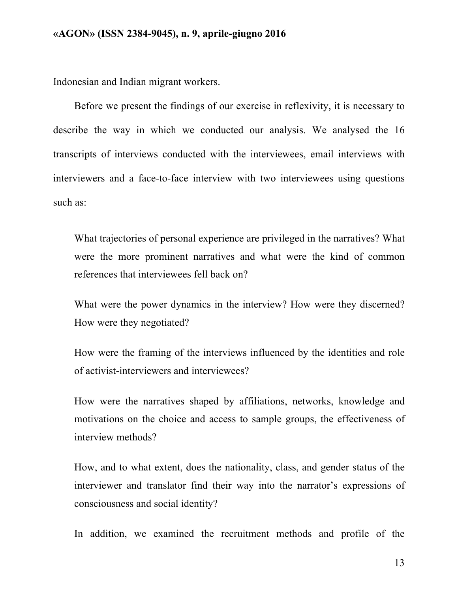Indonesian and Indian migrant workers.

Before we present the findings of our exercise in reflexivity, it is necessary to describe the way in which we conducted our analysis. We analysed the 16 transcripts of interviews conducted with the interviewees, email interviews with interviewers and a face-to-face interview with two interviewees using questions such as:

What trajectories of personal experience are privileged in the narratives? What were the more prominent narratives and what were the kind of common references that interviewees fell back on?

What were the power dynamics in the interview? How were they discerned? How were they negotiated?

How were the framing of the interviews influenced by the identities and role of activist-interviewers and interviewees?

How were the narratives shaped by affiliations, networks, knowledge and motivations on the choice and access to sample groups, the effectiveness of interview methods?

How, and to what extent, does the nationality, class, and gender status of the interviewer and translator find their way into the narrator's expressions of consciousness and social identity?

In addition, we examined the recruitment methods and profile of the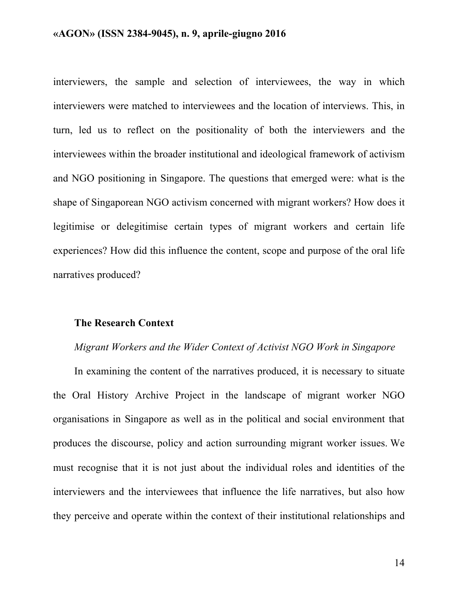interviewers, the sample and selection of interviewees, the way in which interviewers were matched to interviewees and the location of interviews. This, in turn, led us to reflect on the positionality of both the interviewers and the interviewees within the broader institutional and ideological framework of activism and NGO positioning in Singapore. The questions that emerged were: what is the shape of Singaporean NGO activism concerned with migrant workers? How does it legitimise or delegitimise certain types of migrant workers and certain life experiences? How did this influence the content, scope and purpose of the oral life narratives produced?

#### **The Research Context**

### *Migrant Workers and the Wider Context of Activist NGO Work in Singapore*

In examining the content of the narratives produced, it is necessary to situate the Oral History Archive Project in the landscape of migrant worker NGO organisations in Singapore as well as in the political and social environment that produces the discourse, policy and action surrounding migrant worker issues. We must recognise that it is not just about the individual roles and identities of the interviewers and the interviewees that influence the life narratives, but also how they perceive and operate within the context of their institutional relationships and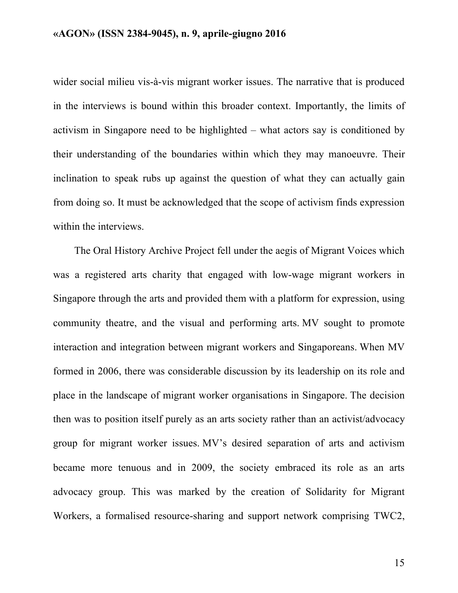wider social milieu vis-à-vis migrant worker issues. The narrative that is produced in the interviews is bound within this broader context. Importantly, the limits of activism in Singapore need to be highlighted – what actors say is conditioned by their understanding of the boundaries within which they may manoeuvre. Their inclination to speak rubs up against the question of what they can actually gain from doing so. It must be acknowledged that the scope of activism finds expression within the interviews.

The Oral History Archive Project fell under the aegis of Migrant Voices which was a registered arts charity that engaged with low-wage migrant workers in Singapore through the arts and provided them with a platform for expression, using community theatre, and the visual and performing arts. MV sought to promote interaction and integration between migrant workers and Singaporeans. When MV formed in 2006, there was considerable discussion by its leadership on its role and place in the landscape of migrant worker organisations in Singapore. The decision then was to position itself purely as an arts society rather than an activist/advocacy group for migrant worker issues. MV's desired separation of arts and activism became more tenuous and in 2009, the society embraced its role as an arts advocacy group. This was marked by the creation of Solidarity for Migrant Workers, a formalised resource-sharing and support network comprising TWC2,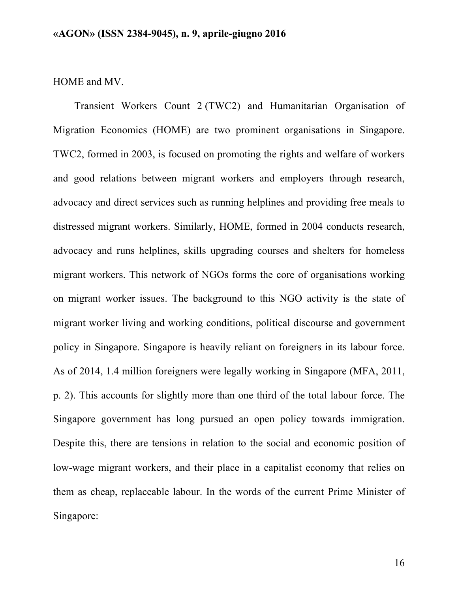### HOME and MV.

Transient Workers Count 2 (TWC2) and Humanitarian Organisation of Migration Economics (HOME) are two prominent organisations in Singapore. TWC2, formed in 2003, is focused on promoting the rights and welfare of workers and good relations between migrant workers and employers through research, advocacy and direct services such as running helplines and providing free meals to distressed migrant workers. Similarly, HOME, formed in 2004 conducts research, advocacy and runs helplines, skills upgrading courses and shelters for homeless migrant workers. This network of NGOs forms the core of organisations working on migrant worker issues. The background to this NGO activity is the state of migrant worker living and working conditions, political discourse and government policy in Singapore. Singapore is heavily reliant on foreigners in its labour force. As of 2014, 1.4 million foreigners were legally working in Singapore (MFA, 2011, p. 2). This accounts for slightly more than one third of the total labour force. The Singapore government has long pursued an open policy towards immigration. Despite this, there are tensions in relation to the social and economic position of low-wage migrant workers, and their place in a capitalist economy that relies on them as cheap, replaceable labour. In the words of the current Prime Minister of Singapore: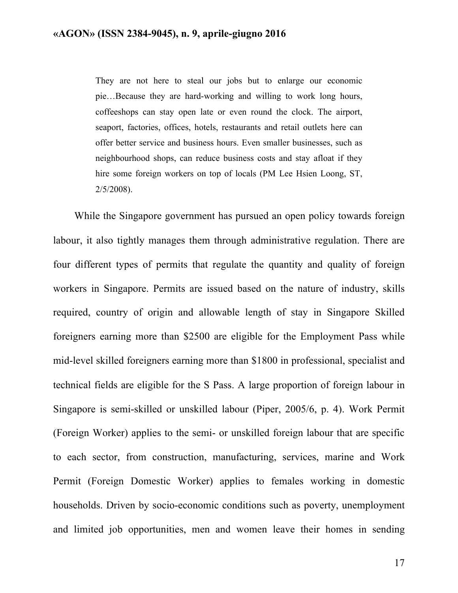They are not here to steal our jobs but to enlarge our economic pie…Because they are hard-working and willing to work long hours, coffeeshops can stay open late or even round the clock. The airport, seaport, factories, offices, hotels, restaurants and retail outlets here can offer better service and business hours. Even smaller businesses, such as neighbourhood shops, can reduce business costs and stay afloat if they hire some foreign workers on top of locals (PM Lee Hsien Loong, ST, 2/5/2008).

While the Singapore government has pursued an open policy towards foreign labour, it also tightly manages them through administrative regulation. There are four different types of permits that regulate the quantity and quality of foreign workers in Singapore. Permits are issued based on the nature of industry, skills required, country of origin and allowable length of stay in Singapore Skilled foreigners earning more than \$2500 are eligible for the Employment Pass while mid-level skilled foreigners earning more than \$1800 in professional, specialist and technical fields are eligible for the S Pass. A large proportion of foreign labour in Singapore is semi-skilled or unskilled labour (Piper, 2005/6, p. 4). Work Permit (Foreign Worker) applies to the semi- or unskilled foreign labour that are specific to each sector, from construction, manufacturing, services, marine and Work Permit (Foreign Domestic Worker) applies to females working in domestic households. Driven by socio-economic conditions such as poverty, unemployment and limited job opportunities, men and women leave their homes in sending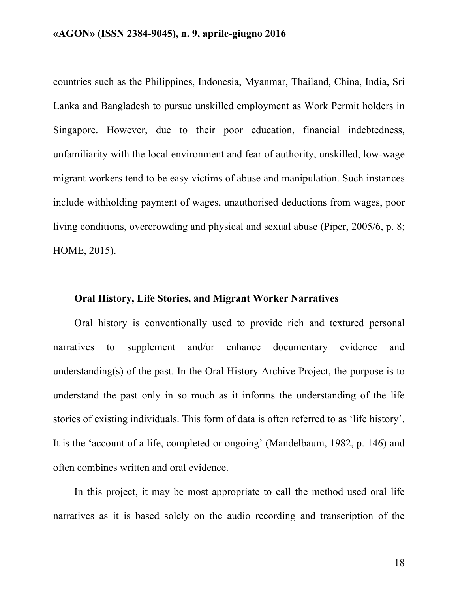countries such as the Philippines, Indonesia, Myanmar, Thailand, China, India, Sri Lanka and Bangladesh to pursue unskilled employment as Work Permit holders in Singapore. However, due to their poor education, financial indebtedness, unfamiliarity with the local environment and fear of authority, unskilled, low-wage migrant workers tend to be easy victims of abuse and manipulation. Such instances include withholding payment of wages, unauthorised deductions from wages, poor living conditions, overcrowding and physical and sexual abuse (Piper, 2005/6, p. 8; HOME, 2015).

### **Oral History, Life Stories, and Migrant Worker Narratives**

Oral history is conventionally used to provide rich and textured personal narratives to supplement and/or enhance documentary evidence and understanding(s) of the past. In the Oral History Archive Project, the purpose is to understand the past only in so much as it informs the understanding of the life stories of existing individuals. This form of data is often referred to as 'life history'. It is the 'account of a life, completed or ongoing' (Mandelbaum, 1982, p. 146) and often combines written and oral evidence.

In this project, it may be most appropriate to call the method used oral life narratives as it is based solely on the audio recording and transcription of the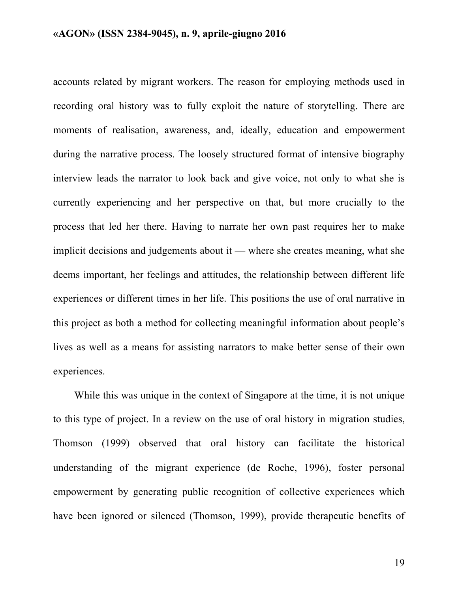accounts related by migrant workers. The reason for employing methods used in recording oral history was to fully exploit the nature of storytelling. There are moments of realisation, awareness, and, ideally, education and empowerment during the narrative process. The loosely structured format of intensive biography interview leads the narrator to look back and give voice, not only to what she is currently experiencing and her perspective on that, but more crucially to the process that led her there. Having to narrate her own past requires her to make implicit decisions and judgements about it — where she creates meaning, what she deems important, her feelings and attitudes, the relationship between different life experiences or different times in her life. This positions the use of oral narrative in this project as both a method for collecting meaningful information about people's lives as well as a means for assisting narrators to make better sense of their own experiences.

While this was unique in the context of Singapore at the time, it is not unique to this type of project. In a review on the use of oral history in migration studies, Thomson (1999) observed that oral history can facilitate the historical understanding of the migrant experience (de Roche, 1996), foster personal empowerment by generating public recognition of collective experiences which have been ignored or silenced (Thomson, 1999), provide therapeutic benefits of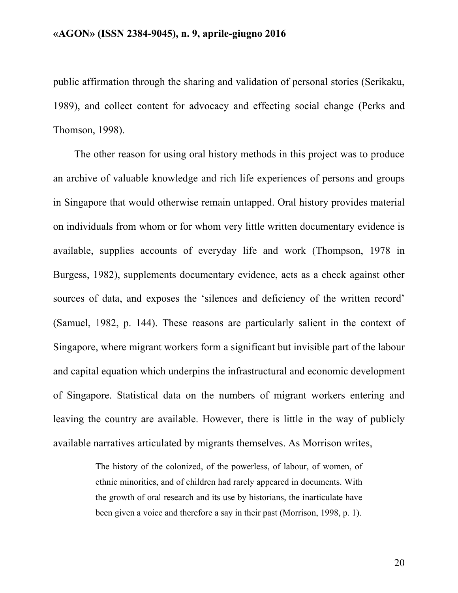public affirmation through the sharing and validation of personal stories (Serikaku, 1989), and collect content for advocacy and effecting social change (Perks and Thomson, 1998).

The other reason for using oral history methods in this project was to produce an archive of valuable knowledge and rich life experiences of persons and groups in Singapore that would otherwise remain untapped. Oral history provides material on individuals from whom or for whom very little written documentary evidence is available, supplies accounts of everyday life and work (Thompson, 1978 in Burgess, 1982), supplements documentary evidence, acts as a check against other sources of data, and exposes the 'silences and deficiency of the written record' (Samuel, 1982, p. 144). These reasons are particularly salient in the context of Singapore, where migrant workers form a significant but invisible part of the labour and capital equation which underpins the infrastructural and economic development of Singapore. Statistical data on the numbers of migrant workers entering and leaving the country are available. However, there is little in the way of publicly available narratives articulated by migrants themselves. As Morrison writes,

> The history of the colonized, of the powerless, of labour, of women, of ethnic minorities, and of children had rarely appeared in documents. With the growth of oral research and its use by historians, the inarticulate have been given a voice and therefore a say in their past (Morrison, 1998, p. 1).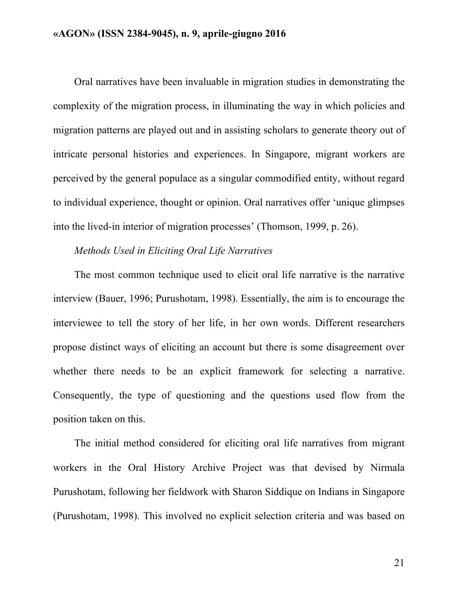Oral narratives have been invaluable in migration studies in demonstrating the complexity of the migration process, in illuminating the way in which policies and migration patterns are played out and in assisting scholars to generate theory out of intricate personal histories and experiences. In Singapore, migrant workers are perceived by the general populace as a singular commodified entity, without regard to individual experience, thought or opinion. Oral narratives offer 'unique glimpses into the lived-in interior of migration processes' (Thomson, 1999, p. 26).

### *Methods Used in Eliciting Oral Life Narratives*

The most common technique used to elicit oral life narrative is the narrative interview (Bauer, 1996; Purushotam, 1998). Essentially, the aim is to encourage the interviewee to tell the story of her life, in her own words. Different researchers propose distinct ways of eliciting an account but there is some disagreement over whether there needs to be an explicit framework for selecting a narrative. Consequently, the type of questioning and the questions used flow from the position taken on this.

The initial method considered for eliciting oral life narratives from migrant workers in the Oral History Archive Project was that devised by Nirmala Purushotam, following her fieldwork with Sharon Siddique on Indians in Singapore (Purushotam, 1998). This involved no explicit selection criteria and was based on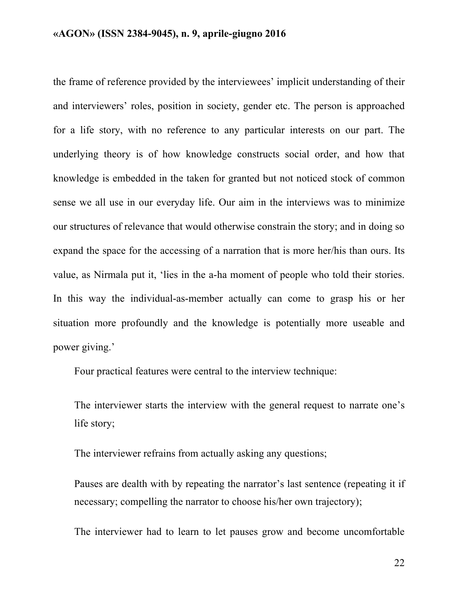the frame of reference provided by the interviewees' implicit understanding of their and interviewers' roles, position in society, gender etc. The person is approached for a life story, with no reference to any particular interests on our part. The underlying theory is of how knowledge constructs social order, and how that knowledge is embedded in the taken for granted but not noticed stock of common sense we all use in our everyday life. Our aim in the interviews was to minimize our structures of relevance that would otherwise constrain the story; and in doing so expand the space for the accessing of a narration that is more her/his than ours. Its value, as Nirmala put it, 'lies in the a-ha moment of people who told their stories. In this way the individual-as-member actually can come to grasp his or her situation more profoundly and the knowledge is potentially more useable and power giving.'

Four practical features were central to the interview technique:

The interviewer starts the interview with the general request to narrate one's life story;

The interviewer refrains from actually asking any questions;

Pauses are dealth with by repeating the narrator's last sentence (repeating it if necessary; compelling the narrator to choose his/her own trajectory);

The interviewer had to learn to let pauses grow and become uncomfortable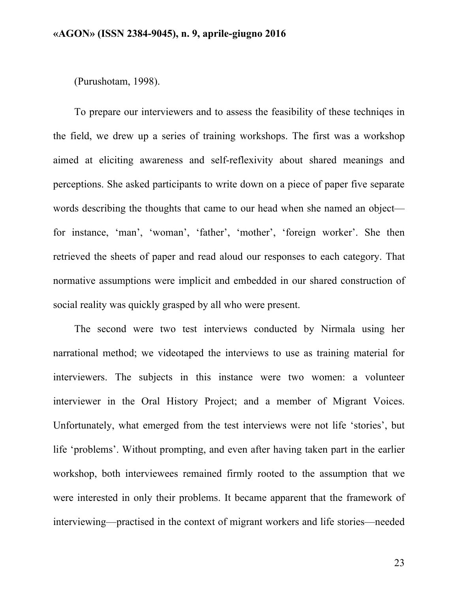(Purushotam, 1998).

To prepare our interviewers and to assess the feasibility of these techniqes in the field, we drew up a series of training workshops. The first was a workshop aimed at eliciting awareness and self-reflexivity about shared meanings and perceptions. She asked participants to write down on a piece of paper five separate words describing the thoughts that came to our head when she named an object for instance, 'man', 'woman', 'father', 'mother', 'foreign worker'. She then retrieved the sheets of paper and read aloud our responses to each category. That normative assumptions were implicit and embedded in our shared construction of social reality was quickly grasped by all who were present.

The second were two test interviews conducted by Nirmala using her narrational method; we videotaped the interviews to use as training material for interviewers. The subjects in this instance were two women: a volunteer interviewer in the Oral History Project; and a member of Migrant Voices. Unfortunately, what emerged from the test interviews were not life 'stories', but life 'problems'. Without prompting, and even after having taken part in the earlier workshop, both interviewees remained firmly rooted to the assumption that we were interested in only their problems. It became apparent that the framework of interviewing—practised in the context of migrant workers and life stories—needed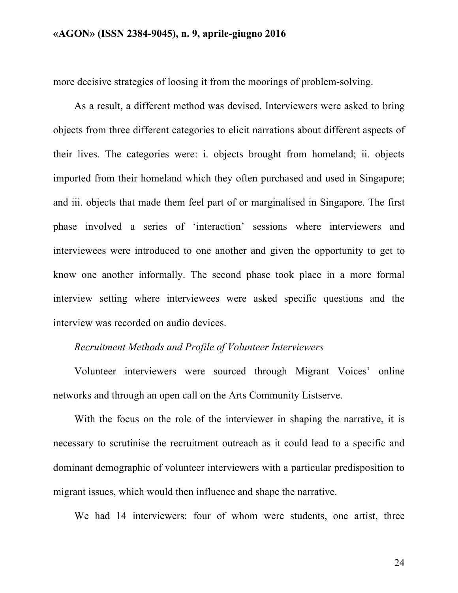more decisive strategies of loosing it from the moorings of problem-solving.

As a result, a different method was devised. Interviewers were asked to bring objects from three different categories to elicit narrations about different aspects of their lives. The categories were: i. objects brought from homeland; ii. objects imported from their homeland which they often purchased and used in Singapore; and iii. objects that made them feel part of or marginalised in Singapore. The first phase involved a series of 'interaction' sessions where interviewers and interviewees were introduced to one another and given the opportunity to get to know one another informally. The second phase took place in a more formal interview setting where interviewees were asked specific questions and the interview was recorded on audio devices.

#### *Recruitment Methods and Profile of Volunteer Interviewers*

Volunteer interviewers were sourced through Migrant Voices' online networks and through an open call on the Arts Community Listserve.

With the focus on the role of the interviewer in shaping the narrative, it is necessary to scrutinise the recruitment outreach as it could lead to a specific and dominant demographic of volunteer interviewers with a particular predisposition to migrant issues, which would then influence and shape the narrative.

We had 14 interviewers: four of whom were students, one artist, three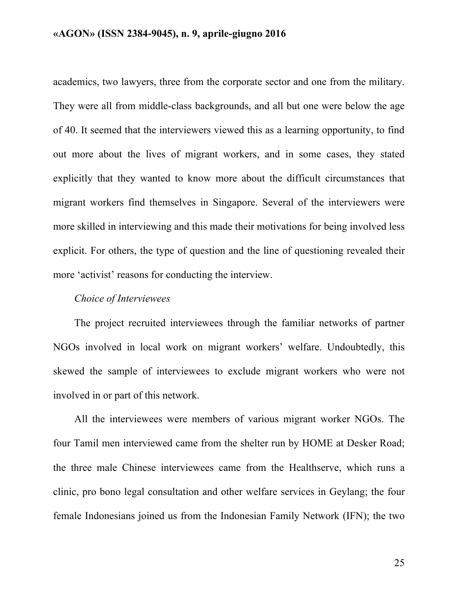academics, two lawyers, three from the corporate sector and one from the military. They were all from middle-class backgrounds, and all but one were below the age of 40. It seemed that the interviewers viewed this as a learning opportunity, to find out more about the lives of migrant workers, and in some cases, they stated explicitly that they wanted to know more about the difficult circumstances that migrant workers find themselves in Singapore. Several of the interviewers were more skilled in interviewing and this made their motivations for being involved less explicit. For others, the type of question and the line of questioning revealed their more 'activist' reasons for conducting the interview.

## *Choice of Interviewees*

The project recruited interviewees through the familiar networks of partner NGOs involved in local work on migrant workers' welfare. Undoubtedly, this skewed the sample of interviewees to exclude migrant workers who were not involved in or part of this network.

All the interviewees were members of various migrant worker NGOs. The four Tamil men interviewed came from the shelter run by HOME at Desker Road; the three male Chinese interviewees came from the Healthserve, which runs a clinic, pro bono legal consultation and other welfare services in Geylang; the four female Indonesians joined us from the Indonesian Family Network (IFN); the two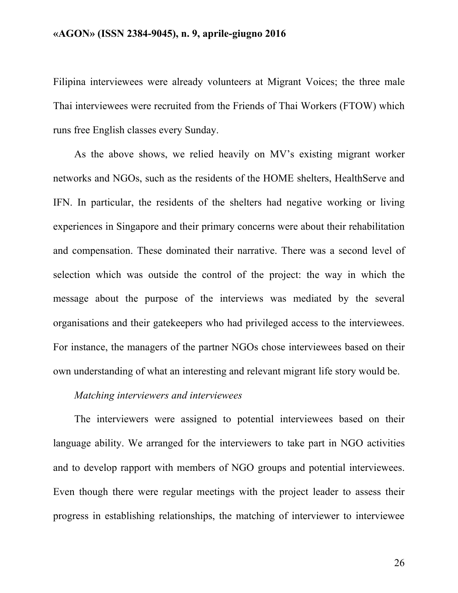Filipina interviewees were already volunteers at Migrant Voices; the three male Thai interviewees were recruited from the Friends of Thai Workers (FTOW) which runs free English classes every Sunday.

As the above shows, we relied heavily on MV's existing migrant worker networks and NGOs, such as the residents of the HOME shelters, HealthServe and IFN. In particular, the residents of the shelters had negative working or living experiences in Singapore and their primary concerns were about their rehabilitation and compensation. These dominated their narrative. There was a second level of selection which was outside the control of the project: the way in which the message about the purpose of the interviews was mediated by the several organisations and their gatekeepers who had privileged access to the interviewees. For instance, the managers of the partner NGOs chose interviewees based on their own understanding of what an interesting and relevant migrant life story would be.

# *Matching interviewers and interviewees*

The interviewers were assigned to potential interviewees based on their language ability. We arranged for the interviewers to take part in NGO activities and to develop rapport with members of NGO groups and potential interviewees. Even though there were regular meetings with the project leader to assess their progress in establishing relationships, the matching of interviewer to interviewee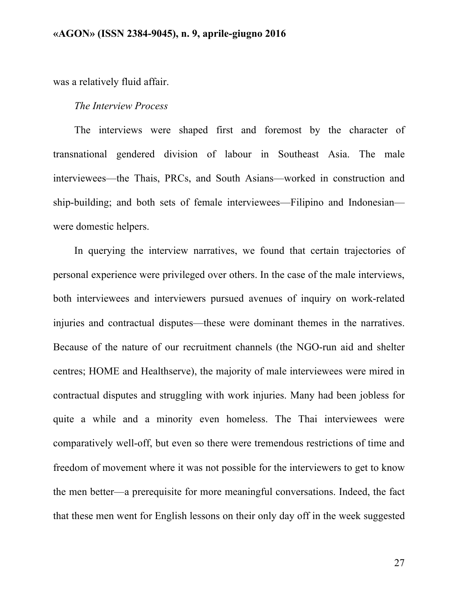was a relatively fluid affair.

#### *The Interview Process*

The interviews were shaped first and foremost by the character of transnational gendered division of labour in Southeast Asia. The male interviewees—the Thais, PRCs, and South Asians—worked in construction and ship-building; and both sets of female interviewees—Filipino and Indonesian were domestic helpers.

In querying the interview narratives, we found that certain trajectories of personal experience were privileged over others. In the case of the male interviews, both interviewees and interviewers pursued avenues of inquiry on work-related injuries and contractual disputes—these were dominant themes in the narratives. Because of the nature of our recruitment channels (the NGO-run aid and shelter centres; HOME and Healthserve), the majority of male interviewees were mired in contractual disputes and struggling with work injuries. Many had been jobless for quite a while and a minority even homeless. The Thai interviewees were comparatively well-off, but even so there were tremendous restrictions of time and freedom of movement where it was not possible for the interviewers to get to know the men better—a prerequisite for more meaningful conversations. Indeed, the fact that these men went for English lessons on their only day off in the week suggested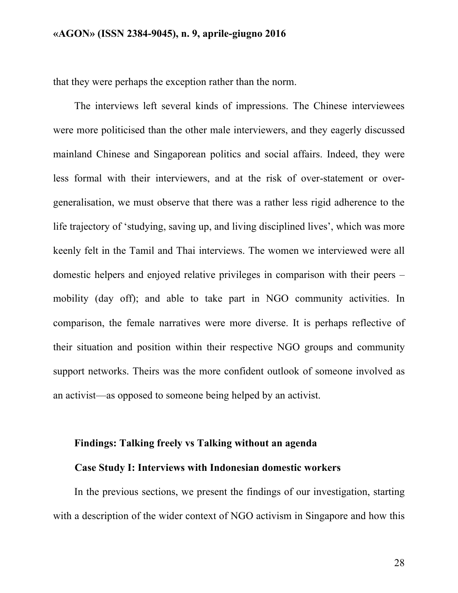that they were perhaps the exception rather than the norm.

The interviews left several kinds of impressions. The Chinese interviewees were more politicised than the other male interviewers, and they eagerly discussed mainland Chinese and Singaporean politics and social affairs. Indeed, they were less formal with their interviewers, and at the risk of over-statement or overgeneralisation, we must observe that there was a rather less rigid adherence to the life trajectory of 'studying, saving up, and living disciplined lives', which was more keenly felt in the Tamil and Thai interviews. The women we interviewed were all domestic helpers and enjoyed relative privileges in comparison with their peers – mobility (day off); and able to take part in NGO community activities. In comparison, the female narratives were more diverse. It is perhaps reflective of their situation and position within their respective NGO groups and community support networks. Theirs was the more confident outlook of someone involved as an activist—as opposed to someone being helped by an activist.

### **Findings: Talking freely vs Talking without an agenda**

#### **Case Study I: Interviews with Indonesian domestic workers**

In the previous sections, we present the findings of our investigation, starting with a description of the wider context of NGO activism in Singapore and how this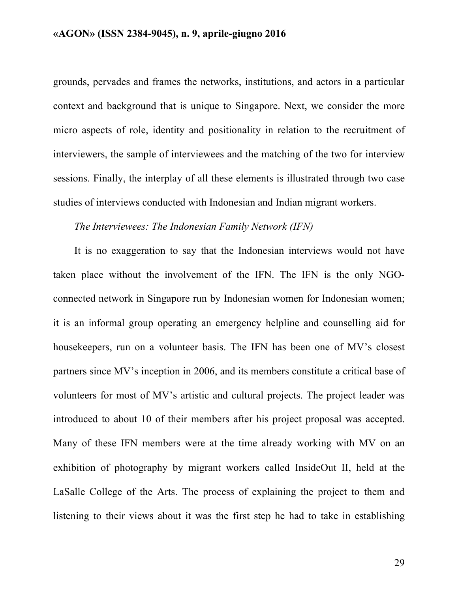grounds, pervades and frames the networks, institutions, and actors in a particular context and background that is unique to Singapore. Next, we consider the more micro aspects of role, identity and positionality in relation to the recruitment of interviewers, the sample of interviewees and the matching of the two for interview sessions. Finally, the interplay of all these elements is illustrated through two case studies of interviews conducted with Indonesian and Indian migrant workers.

#### *The Interviewees: The Indonesian Family Network (IFN)*

It is no exaggeration to say that the Indonesian interviews would not have taken place without the involvement of the IFN. The IFN is the only NGOconnected network in Singapore run by Indonesian women for Indonesian women; it is an informal group operating an emergency helpline and counselling aid for housekeepers, run on a volunteer basis. The IFN has been one of MV's closest partners since MV's inception in 2006, and its members constitute a critical base of volunteers for most of MV's artistic and cultural projects. The project leader was introduced to about 10 of their members after his project proposal was accepted. Many of these IFN members were at the time already working with MV on an exhibition of photography by migrant workers called InsideOut II, held at the LaSalle College of the Arts. The process of explaining the project to them and listening to their views about it was the first step he had to take in establishing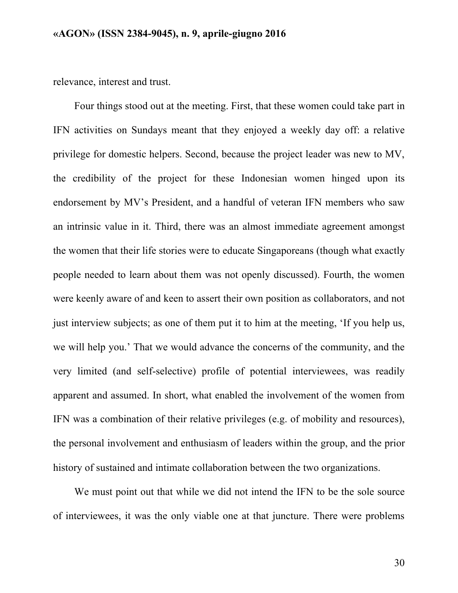relevance, interest and trust.

Four things stood out at the meeting. First, that these women could take part in IFN activities on Sundays meant that they enjoyed a weekly day off: a relative privilege for domestic helpers. Second, because the project leader was new to MV, the credibility of the project for these Indonesian women hinged upon its endorsement by MV's President, and a handful of veteran IFN members who saw an intrinsic value in it. Third, there was an almost immediate agreement amongst the women that their life stories were to educate Singaporeans (though what exactly people needed to learn about them was not openly discussed). Fourth, the women were keenly aware of and keen to assert their own position as collaborators, and not just interview subjects; as one of them put it to him at the meeting, 'If you help us, we will help you.' That we would advance the concerns of the community, and the very limited (and self-selective) profile of potential interviewees, was readily apparent and assumed. In short, what enabled the involvement of the women from IFN was a combination of their relative privileges (e.g. of mobility and resources), the personal involvement and enthusiasm of leaders within the group, and the prior history of sustained and intimate collaboration between the two organizations.

We must point out that while we did not intend the IFN to be the sole source of interviewees, it was the only viable one at that juncture. There were problems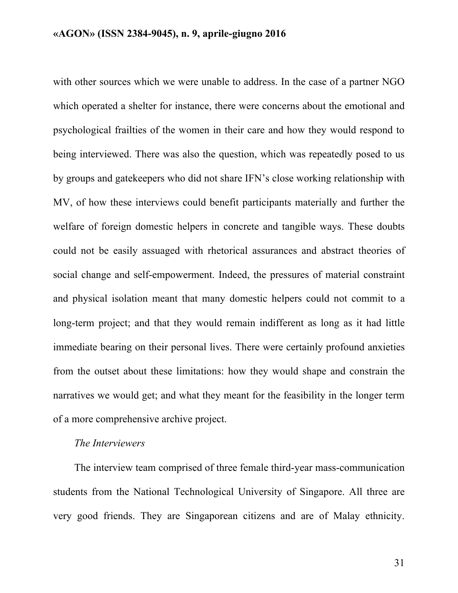with other sources which we were unable to address. In the case of a partner NGO which operated a shelter for instance, there were concerns about the emotional and psychological frailties of the women in their care and how they would respond to being interviewed. There was also the question, which was repeatedly posed to us by groups and gatekeepers who did not share IFN's close working relationship with MV, of how these interviews could benefit participants materially and further the welfare of foreign domestic helpers in concrete and tangible ways. These doubts could not be easily assuaged with rhetorical assurances and abstract theories of social change and self-empowerment. Indeed, the pressures of material constraint and physical isolation meant that many domestic helpers could not commit to a long-term project; and that they would remain indifferent as long as it had little immediate bearing on their personal lives. There were certainly profound anxieties from the outset about these limitations: how they would shape and constrain the narratives we would get; and what they meant for the feasibility in the longer term of a more comprehensive archive project.

#### *The Interviewers*

The interview team comprised of three female third-year mass-communication students from the National Technological University of Singapore. All three are very good friends. They are Singaporean citizens and are of Malay ethnicity.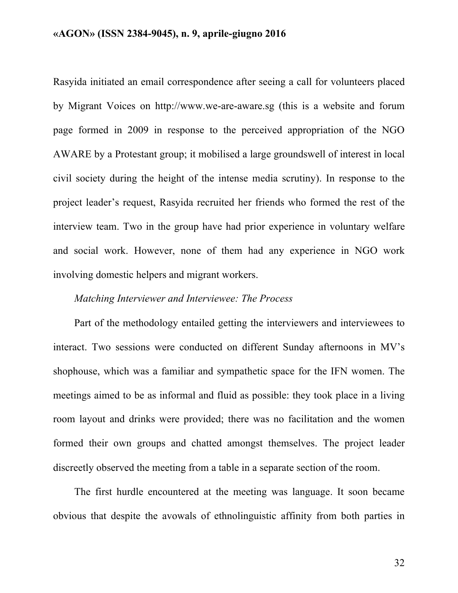Rasyida initiated an email correspondence after seeing a call for volunteers placed by Migrant Voices on http://www.we-are-aware.sg (this is a website and forum page formed in 2009 in response to the perceived appropriation of the NGO AWARE by a Protestant group; it mobilised a large groundswell of interest in local civil society during the height of the intense media scrutiny). In response to the project leader's request, Rasyida recruited her friends who formed the rest of the interview team. Two in the group have had prior experience in voluntary welfare and social work. However, none of them had any experience in NGO work involving domestic helpers and migrant workers.

### *Matching Interviewer and Interviewee: The Process*

Part of the methodology entailed getting the interviewers and interviewees to interact. Two sessions were conducted on different Sunday afternoons in MV's shophouse, which was a familiar and sympathetic space for the IFN women. The meetings aimed to be as informal and fluid as possible: they took place in a living room layout and drinks were provided; there was no facilitation and the women formed their own groups and chatted amongst themselves. The project leader discreetly observed the meeting from a table in a separate section of the room.

The first hurdle encountered at the meeting was language. It soon became obvious that despite the avowals of ethnolinguistic affinity from both parties in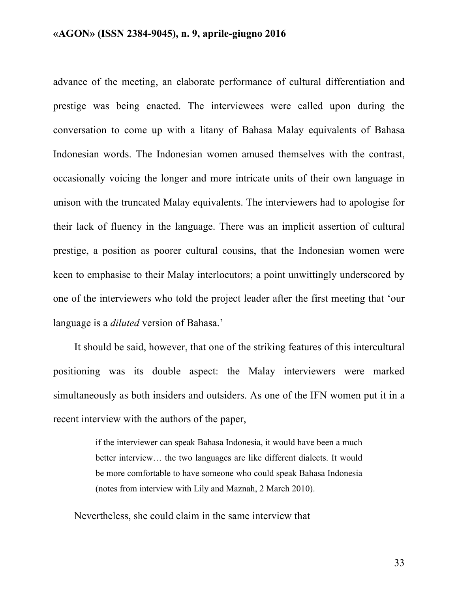advance of the meeting, an elaborate performance of cultural differentiation and prestige was being enacted. The interviewees were called upon during the conversation to come up with a litany of Bahasa Malay equivalents of Bahasa Indonesian words. The Indonesian women amused themselves with the contrast, occasionally voicing the longer and more intricate units of their own language in unison with the truncated Malay equivalents. The interviewers had to apologise for their lack of fluency in the language. There was an implicit assertion of cultural prestige, a position as poorer cultural cousins, that the Indonesian women were keen to emphasise to their Malay interlocutors; a point unwittingly underscored by one of the interviewers who told the project leader after the first meeting that 'our language is a *diluted* version of Bahasa.'

It should be said, however, that one of the striking features of this intercultural positioning was its double aspect: the Malay interviewers were marked simultaneously as both insiders and outsiders. As one of the IFN women put it in a recent interview with the authors of the paper,

> if the interviewer can speak Bahasa Indonesia, it would have been a much better interview… the two languages are like different dialects. It would be more comfortable to have someone who could speak Bahasa Indonesia (notes from interview with Lily and Maznah, 2 March 2010).

Nevertheless, she could claim in the same interview that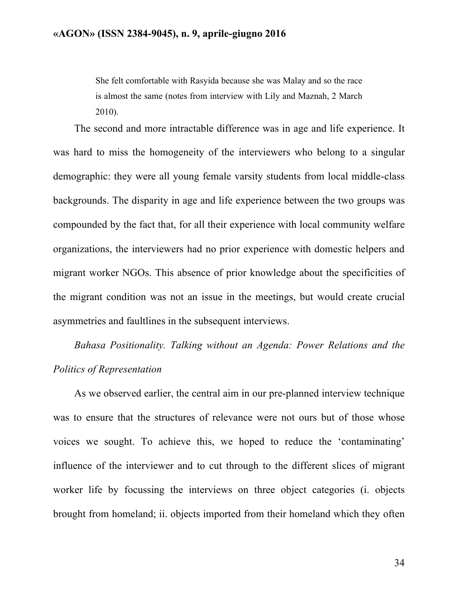She felt comfortable with Rasyida because she was Malay and so the race is almost the same (notes from interview with Lily and Maznah, 2 March 2010).

The second and more intractable difference was in age and life experience. It was hard to miss the homogeneity of the interviewers who belong to a singular demographic: they were all young female varsity students from local middle-class backgrounds. The disparity in age and life experience between the two groups was compounded by the fact that, for all their experience with local community welfare organizations, the interviewers had no prior experience with domestic helpers and migrant worker NGOs. This absence of prior knowledge about the specificities of the migrant condition was not an issue in the meetings, but would create crucial asymmetries and faultlines in the subsequent interviews.

*Bahasa Positionality. Talking without an Agenda: Power Relations and the Politics of Representation*

As we observed earlier, the central aim in our pre-planned interview technique was to ensure that the structures of relevance were not ours but of those whose voices we sought. To achieve this, we hoped to reduce the 'contaminating' influence of the interviewer and to cut through to the different slices of migrant worker life by focussing the interviews on three object categories (i. objects brought from homeland; ii. objects imported from their homeland which they often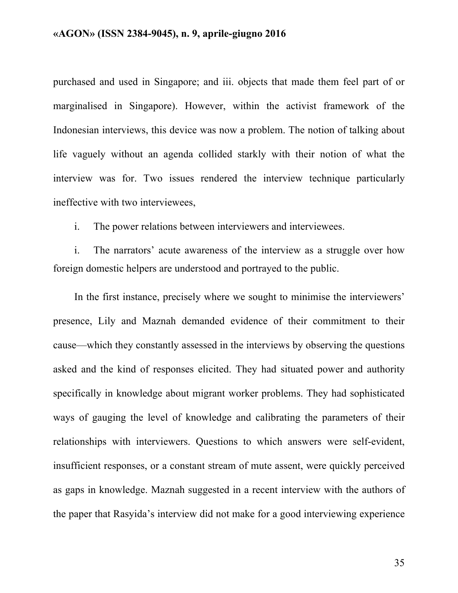purchased and used in Singapore; and iii. objects that made them feel part of or marginalised in Singapore). However, within the activist framework of the Indonesian interviews, this device was now a problem. The notion of talking about life vaguely without an agenda collided starkly with their notion of what the interview was for. Two issues rendered the interview technique particularly ineffective with two interviewees,

i. The power relations between interviewers and interviewees.

i. The narrators' acute awareness of the interview as a struggle over how foreign domestic helpers are understood and portrayed to the public.

In the first instance, precisely where we sought to minimise the interviewers' presence, Lily and Maznah demanded evidence of their commitment to their cause—which they constantly assessed in the interviews by observing the questions asked and the kind of responses elicited. They had situated power and authority specifically in knowledge about migrant worker problems. They had sophisticated ways of gauging the level of knowledge and calibrating the parameters of their relationships with interviewers. Questions to which answers were self-evident, insufficient responses, or a constant stream of mute assent, were quickly perceived as gaps in knowledge. Maznah suggested in a recent interview with the authors of the paper that Rasyida's interview did not make for a good interviewing experience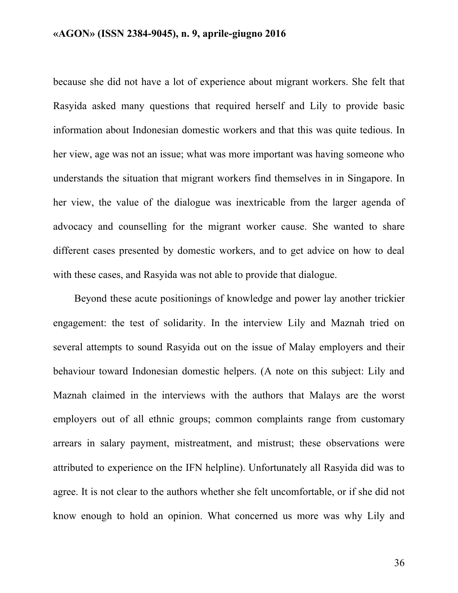because she did not have a lot of experience about migrant workers. She felt that Rasyida asked many questions that required herself and Lily to provide basic information about Indonesian domestic workers and that this was quite tedious. In her view, age was not an issue; what was more important was having someone who understands the situation that migrant workers find themselves in in Singapore. In her view, the value of the dialogue was inextricable from the larger agenda of advocacy and counselling for the migrant worker cause. She wanted to share different cases presented by domestic workers, and to get advice on how to deal with these cases, and Rasyida was not able to provide that dialogue.

Beyond these acute positionings of knowledge and power lay another trickier engagement: the test of solidarity. In the interview Lily and Maznah tried on several attempts to sound Rasyida out on the issue of Malay employers and their behaviour toward Indonesian domestic helpers. (A note on this subject: Lily and Maznah claimed in the interviews with the authors that Malays are the worst employers out of all ethnic groups; common complaints range from customary arrears in salary payment, mistreatment, and mistrust; these observations were attributed to experience on the IFN helpline). Unfortunately all Rasyida did was to agree. It is not clear to the authors whether she felt uncomfortable, or if she did not know enough to hold an opinion. What concerned us more was why Lily and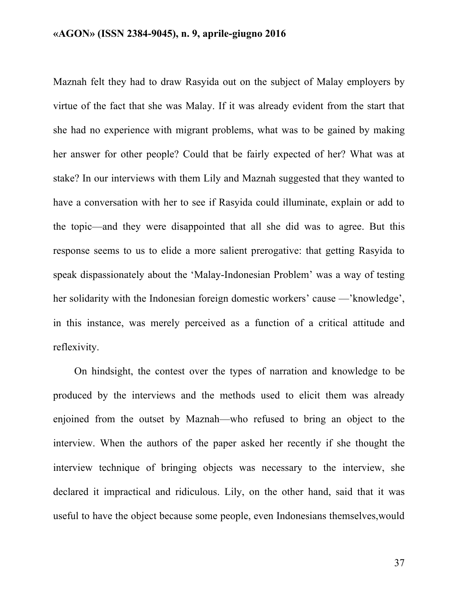Maznah felt they had to draw Rasyida out on the subject of Malay employers by virtue of the fact that she was Malay. If it was already evident from the start that she had no experience with migrant problems, what was to be gained by making her answer for other people? Could that be fairly expected of her? What was at stake? In our interviews with them Lily and Maznah suggested that they wanted to have a conversation with her to see if Rasyida could illuminate, explain or add to the topic—and they were disappointed that all she did was to agree. But this response seems to us to elide a more salient prerogative: that getting Rasyida to speak dispassionately about the 'Malay-Indonesian Problem' was a way of testing her solidarity with the Indonesian foreign domestic workers' cause —'knowledge', in this instance, was merely perceived as a function of a critical attitude and reflexivity.

On hindsight, the contest over the types of narration and knowledge to be produced by the interviews and the methods used to elicit them was already enjoined from the outset by Maznah—who refused to bring an object to the interview. When the authors of the paper asked her recently if she thought the interview technique of bringing objects was necessary to the interview, she declared it impractical and ridiculous. Lily, on the other hand, said that it was useful to have the object because some people, even Indonesians themselves,would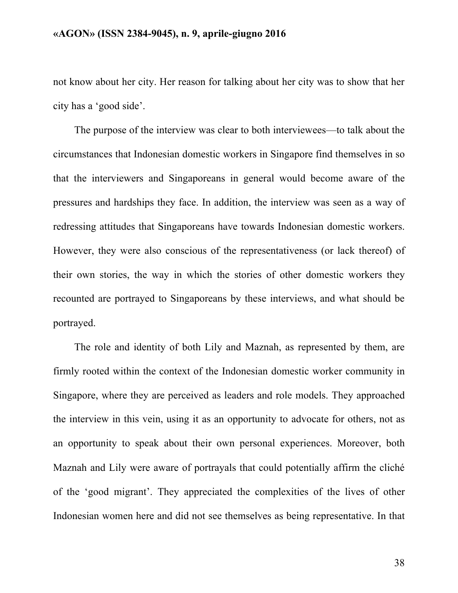not know about her city. Her reason for talking about her city was to show that her city has a 'good side'.

The purpose of the interview was clear to both interviewees—to talk about the circumstances that Indonesian domestic workers in Singapore find themselves in so that the interviewers and Singaporeans in general would become aware of the pressures and hardships they face. In addition, the interview was seen as a way of redressing attitudes that Singaporeans have towards Indonesian domestic workers. However, they were also conscious of the representativeness (or lack thereof) of their own stories, the way in which the stories of other domestic workers they recounted are portrayed to Singaporeans by these interviews, and what should be portrayed.

The role and identity of both Lily and Maznah, as represented by them, are firmly rooted within the context of the Indonesian domestic worker community in Singapore, where they are perceived as leaders and role models. They approached the interview in this vein, using it as an opportunity to advocate for others, not as an opportunity to speak about their own personal experiences. Moreover, both Maznah and Lily were aware of portrayals that could potentially affirm the cliché of the 'good migrant'. They appreciated the complexities of the lives of other Indonesian women here and did not see themselves as being representative. In that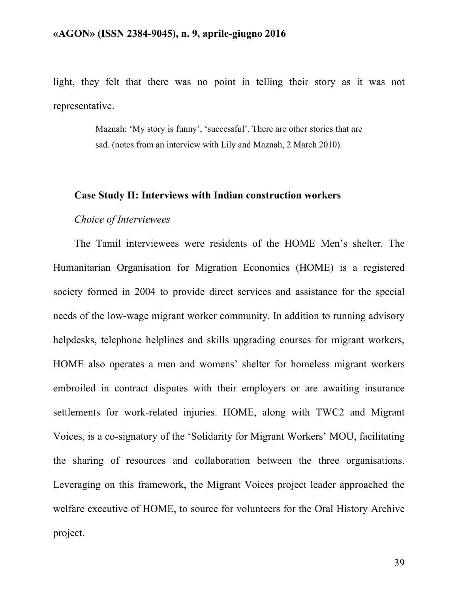light, they felt that there was no point in telling their story as it was not representative.

> Maznah: 'My story is funny', 'successful'. There are other stories that are sad. (notes from an interview with Lily and Maznah, 2 March 2010).

#### **Case Study II: Interviews with Indian construction workers**

#### *Choice of Interviewees*

The Tamil interviewees were residents of the HOME Men's shelter. The Humanitarian Organisation for Migration Economics (HOME) is a registered society formed in 2004 to provide direct services and assistance for the special needs of the low-wage migrant worker community. In addition to running advisory helpdesks, telephone helplines and skills upgrading courses for migrant workers, HOME also operates a men and womens' shelter for homeless migrant workers embroiled in contract disputes with their employers or are awaiting insurance settlements for work-related injuries. HOME, along with TWC2 and Migrant Voices, is a co-signatory of the 'Solidarity for Migrant Workers' MOU, facilitating the sharing of resources and collaboration between the three organisations. Leveraging on this framework, the Migrant Voices project leader approached the welfare executive of HOME, to source for volunteers for the Oral History Archive project.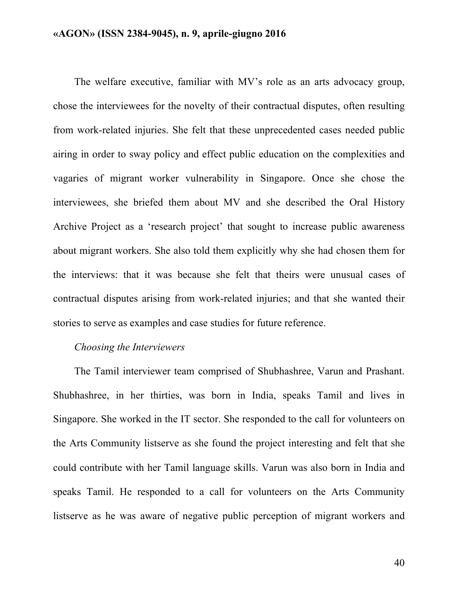The welfare executive, familiar with MV's role as an arts advocacy group, chose the interviewees for the novelty of their contractual disputes, often resulting from work-related injuries. She felt that these unprecedented cases needed public airing in order to sway policy and effect public education on the complexities and vagaries of migrant worker vulnerability in Singapore. Once she chose the interviewees, she briefed them about MV and she described the Oral History Archive Project as a 'research project' that sought to increase public awareness about migrant workers. She also told them explicitly why she had chosen them for the interviews: that it was because she felt that theirs were unusual cases of contractual disputes arising from work-related injuries; and that she wanted their stories to serve as examples and case studies for future reference.

#### *Choosing the Interviewers*

The Tamil interviewer team comprised of Shubhashree, Varun and Prashant. Shubhashree, in her thirties, was born in India, speaks Tamil and lives in Singapore. She worked in the IT sector. She responded to the call for volunteers on the Arts Community listserve as she found the project interesting and felt that she could contribute with her Tamil language skills. Varun was also born in India and speaks Tamil. He responded to a call for volunteers on the Arts Community listserve as he was aware of negative public perception of migrant workers and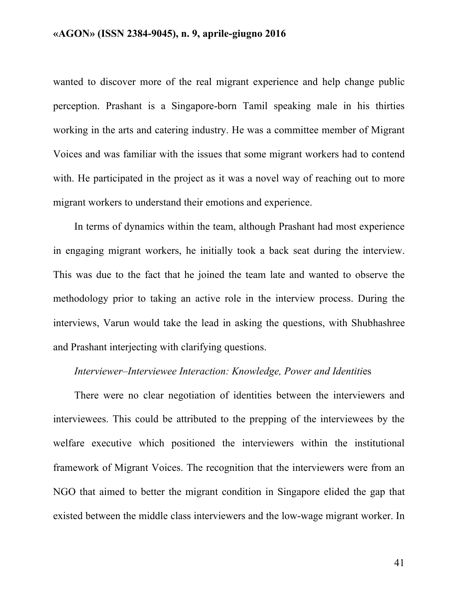wanted to discover more of the real migrant experience and help change public perception. Prashant is a Singapore-born Tamil speaking male in his thirties working in the arts and catering industry. He was a committee member of Migrant Voices and was familiar with the issues that some migrant workers had to contend with. He participated in the project as it was a novel way of reaching out to more migrant workers to understand their emotions and experience.

In terms of dynamics within the team, although Prashant had most experience in engaging migrant workers, he initially took a back seat during the interview. This was due to the fact that he joined the team late and wanted to observe the methodology prior to taking an active role in the interview process. During the interviews, Varun would take the lead in asking the questions, with Shubhashree and Prashant interjecting with clarifying questions.

### *Interviewer–Interviewee Interaction: Knowledge, Power and Identiti*es

There were no clear negotiation of identities between the interviewers and interviewees. This could be attributed to the prepping of the interviewees by the welfare executive which positioned the interviewers within the institutional framework of Migrant Voices. The recognition that the interviewers were from an NGO that aimed to better the migrant condition in Singapore elided the gap that existed between the middle class interviewers and the low-wage migrant worker. In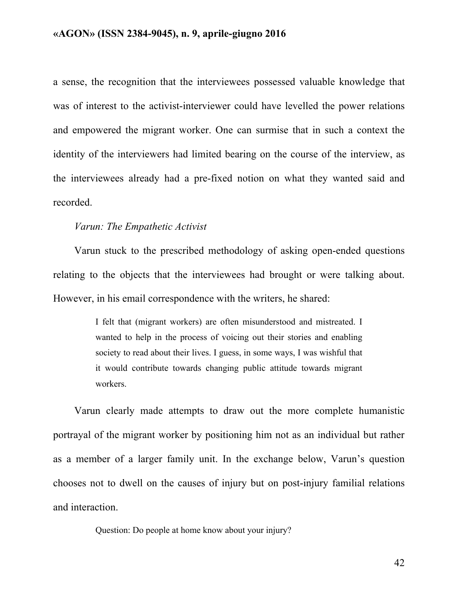a sense, the recognition that the interviewees possessed valuable knowledge that was of interest to the activist-interviewer could have levelled the power relations and empowered the migrant worker. One can surmise that in such a context the identity of the interviewers had limited bearing on the course of the interview, as the interviewees already had a pre-fixed notion on what they wanted said and recorded.

#### *Varun: The Empathetic Activist*

Varun stuck to the prescribed methodology of asking open-ended questions relating to the objects that the interviewees had brought or were talking about. However, in his email correspondence with the writers, he shared:

> I felt that (migrant workers) are often misunderstood and mistreated. I wanted to help in the process of voicing out their stories and enabling society to read about their lives. I guess, in some ways, I was wishful that it would contribute towards changing public attitude towards migrant workers.

Varun clearly made attempts to draw out the more complete humanistic portrayal of the migrant worker by positioning him not as an individual but rather as a member of a larger family unit. In the exchange below, Varun's question chooses not to dwell on the causes of injury but on post-injury familial relations and interaction.

Question: Do people at home know about your injury?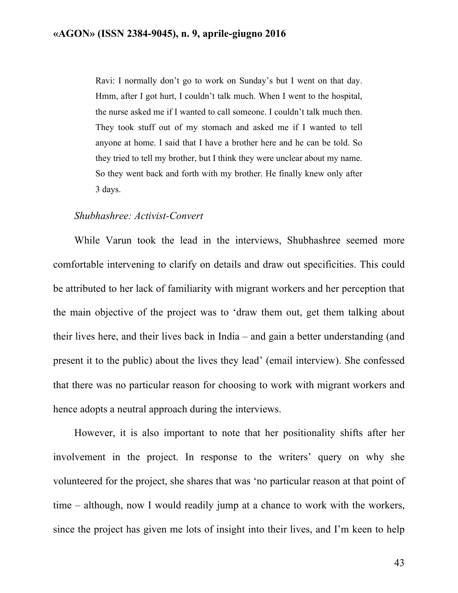Ravi: I normally don't go to work on Sunday's but I went on that day. Hmm, after I got hurt, I couldn't talk much. When I went to the hospital, the nurse asked me if I wanted to call someone. I couldn't talk much then. They took stuff out of my stomach and asked me if I wanted to tell anyone at home. I said that I have a brother here and he can be told. So they tried to tell my brother, but I think they were unclear about my name. So they went back and forth with my brother. He finally knew only after 3 days.

#### *Shubhashree: Activist-Convert*

While Varun took the lead in the interviews, Shubhashree seemed more comfortable intervening to clarify on details and draw out specificities. This could be attributed to her lack of familiarity with migrant workers and her perception that the main objective of the project was to 'draw them out, get them talking about their lives here, and their lives back in India – and gain a better understanding (and present it to the public) about the lives they lead' (email interview). She confessed that there was no particular reason for choosing to work with migrant workers and hence adopts a neutral approach during the interviews.

However, it is also important to note that her positionality shifts after her involvement in the project. In response to the writers' query on why she volunteered for the project, she shares that was 'no particular reason at that point of time – although, now I would readily jump at a chance to work with the workers, since the project has given me lots of insight into their lives, and I'm keen to help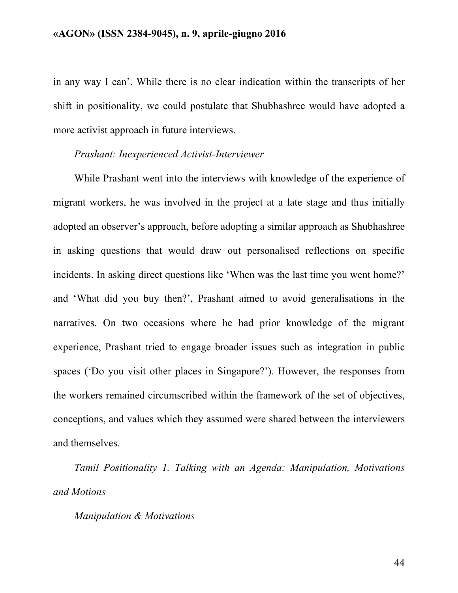in any way I can'. While there is no clear indication within the transcripts of her shift in positionality, we could postulate that Shubhashree would have adopted a more activist approach in future interviews.

### *Prashant: Inexperienced Activist-Interviewer*

While Prashant went into the interviews with knowledge of the experience of migrant workers, he was involved in the project at a late stage and thus initially adopted an observer's approach, before adopting a similar approach as Shubhashree in asking questions that would draw out personalised reflections on specific incidents. In asking direct questions like 'When was the last time you went home?' and 'What did you buy then?', Prashant aimed to avoid generalisations in the narratives. On two occasions where he had prior knowledge of the migrant experience, Prashant tried to engage broader issues such as integration in public spaces ('Do you visit other places in Singapore?'). However, the responses from the workers remained circumscribed within the framework of the set of objectives, conceptions, and values which they assumed were shared between the interviewers and themselves.

*Tamil Positionality 1. Talking with an Agenda: Manipulation, Motivations and Motions*

### *Manipulation & Motivations*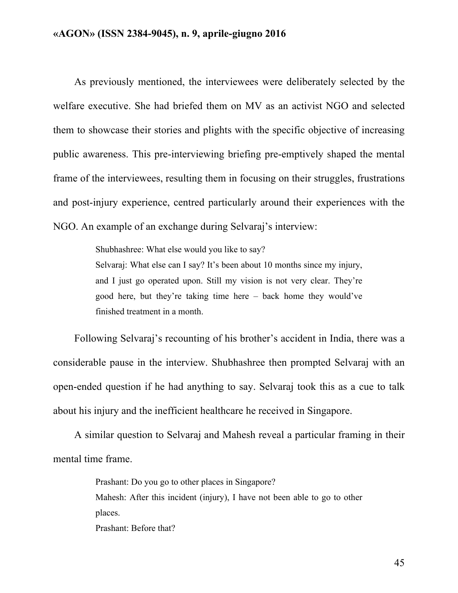As previously mentioned, the interviewees were deliberately selected by the welfare executive. She had briefed them on MV as an activist NGO and selected them to showcase their stories and plights with the specific objective of increasing public awareness. This pre-interviewing briefing pre-emptively shaped the mental frame of the interviewees, resulting them in focusing on their struggles, frustrations and post-injury experience, centred particularly around their experiences with the NGO. An example of an exchange during Selvaraj's interview:

> Shubhashree: What else would you like to say? Selvaraj: What else can I say? It's been about 10 months since my injury, and I just go operated upon. Still my vision is not very clear. They're good here, but they're taking time here – back home they would've finished treatment in a month.

Following Selvaraj's recounting of his brother's accident in India, there was a considerable pause in the interview. Shubhashree then prompted Selvaraj with an open-ended question if he had anything to say. Selvaraj took this as a cue to talk about his injury and the inefficient healthcare he received in Singapore.

A similar question to Selvaraj and Mahesh reveal a particular framing in their mental time frame.

Prashant: Do you go to other places in Singapore?

Mahesh: After this incident (injury), I have not been able to go to other places.

Prashant: Before that?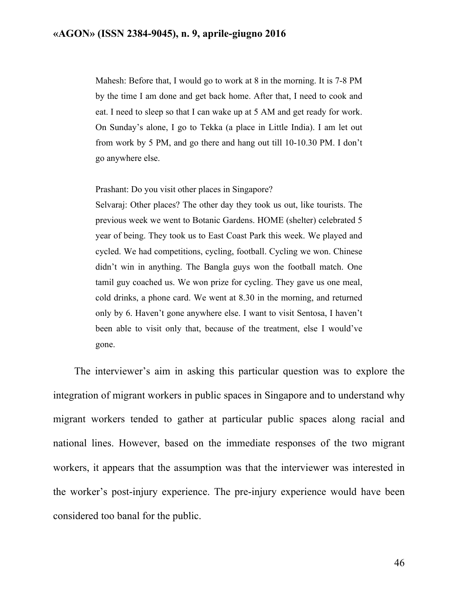Mahesh: Before that, I would go to work at 8 in the morning. It is 7-8 PM by the time I am done and get back home. After that, I need to cook and eat. I need to sleep so that I can wake up at 5 AM and get ready for work. On Sunday's alone, I go to Tekka (a place in Little India). I am let out from work by 5 PM, and go there and hang out till 10-10.30 PM. I don't go anywhere else.

Prashant: Do you visit other places in Singapore?

Selvaraj: Other places? The other day they took us out, like tourists. The previous week we went to Botanic Gardens. HOME (shelter) celebrated 5 year of being. They took us to East Coast Park this week. We played and cycled. We had competitions, cycling, football. Cycling we won. Chinese didn't win in anything. The Bangla guys won the football match. One tamil guy coached us. We won prize for cycling. They gave us one meal, cold drinks, a phone card. We went at 8.30 in the morning, and returned only by 6. Haven't gone anywhere else. I want to visit Sentosa, I haven't been able to visit only that, because of the treatment, else I would've gone.

The interviewer's aim in asking this particular question was to explore the integration of migrant workers in public spaces in Singapore and to understand why migrant workers tended to gather at particular public spaces along racial and national lines. However, based on the immediate responses of the two migrant workers, it appears that the assumption was that the interviewer was interested in the worker's post-injury experience. The pre-injury experience would have been considered too banal for the public.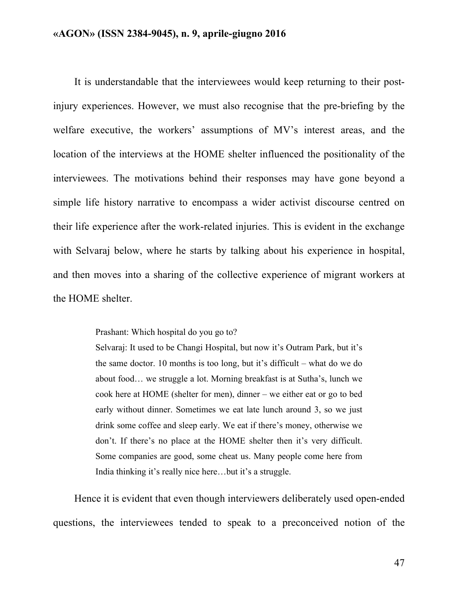It is understandable that the interviewees would keep returning to their postinjury experiences. However, we must also recognise that the pre-briefing by the welfare executive, the workers' assumptions of MV's interest areas, and the location of the interviews at the HOME shelter influenced the positionality of the interviewees. The motivations behind their responses may have gone beyond a simple life history narrative to encompass a wider activist discourse centred on their life experience after the work-related injuries. This is evident in the exchange with Selvaraj below, where he starts by talking about his experience in hospital, and then moves into a sharing of the collective experience of migrant workers at the HOME shelter.

Prashant: Which hospital do you go to?

Selvaraj: It used to be Changi Hospital, but now it's Outram Park, but it's the same doctor. 10 months is too long, but it's difficult – what do we do about food… we struggle a lot. Morning breakfast is at Sutha's, lunch we cook here at HOME (shelter for men), dinner – we either eat or go to bed early without dinner. Sometimes we eat late lunch around 3, so we just drink some coffee and sleep early. We eat if there's money, otherwise we don't. If there's no place at the HOME shelter then it's very difficult. Some companies are good, some cheat us. Many people come here from India thinking it's really nice here…but it's a struggle.

Hence it is evident that even though interviewers deliberately used open-ended questions, the interviewees tended to speak to a preconceived notion of the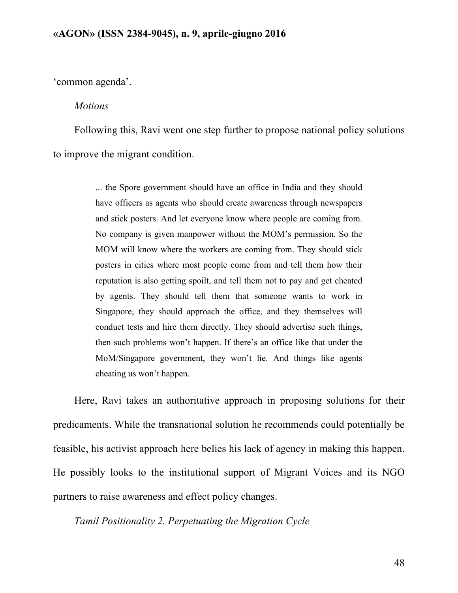'common agenda'.

#### *Motions*

Following this, Ravi went one step further to propose national policy solutions to improve the migrant condition.

> ... the Spore government should have an office in India and they should have officers as agents who should create awareness through newspapers and stick posters. And let everyone know where people are coming from. No company is given manpower without the MOM's permission. So the MOM will know where the workers are coming from. They should stick posters in cities where most people come from and tell them how their reputation is also getting spoilt, and tell them not to pay and get cheated by agents. They should tell them that someone wants to work in Singapore, they should approach the office, and they themselves will conduct tests and hire them directly. They should advertise such things, then such problems won't happen. If there's an office like that under the MoM/Singapore government, they won't lie. And things like agents cheating us won't happen.

Here, Ravi takes an authoritative approach in proposing solutions for their predicaments. While the transnational solution he recommends could potentially be feasible, his activist approach here belies his lack of agency in making this happen. He possibly looks to the institutional support of Migrant Voices and its NGO partners to raise awareness and effect policy changes.

*Tamil Positionality 2. Perpetuating the Migration Cycle*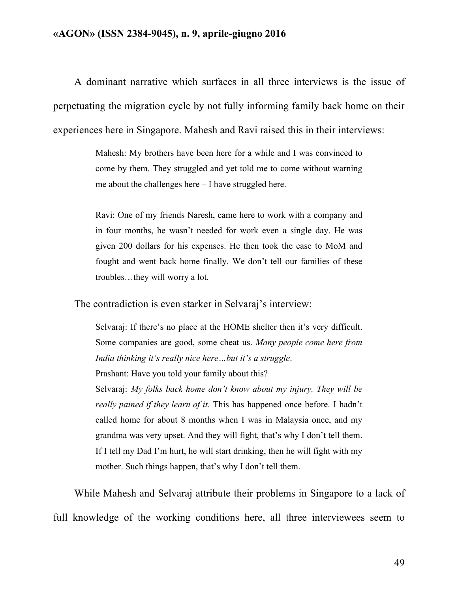A dominant narrative which surfaces in all three interviews is the issue of perpetuating the migration cycle by not fully informing family back home on their experiences here in Singapore. Mahesh and Ravi raised this in their interviews:

> Mahesh: My brothers have been here for a while and I was convinced to come by them. They struggled and yet told me to come without warning me about the challenges here – I have struggled here.

> Ravi: One of my friends Naresh, came here to work with a company and in four months, he wasn't needed for work even a single day. He was given 200 dollars for his expenses. He then took the case to MoM and fought and went back home finally. We don't tell our families of these troubles…they will worry a lot.

The contradiction is even starker in Selvaraj's interview:

Selvaraj: If there's no place at the HOME shelter then it's very difficult. Some companies are good, some cheat us. *Many people come here from India thinking it's really nice here…but it's a struggle*. Prashant: Have you told your family about this? Selvaraj: *My folks back home don't know about my injury. They will be really pained if they learn of it.* This has happened once before. I hadn't called home for about 8 months when I was in Malaysia once, and my grandma was very upset. And they will fight, that's why I don't tell them. If I tell my Dad I'm hurt, he will start drinking, then he will fight with my mother. Such things happen, that's why I don't tell them.

While Mahesh and Selvaraj attribute their problems in Singapore to a lack of full knowledge of the working conditions here, all three interviewees seem to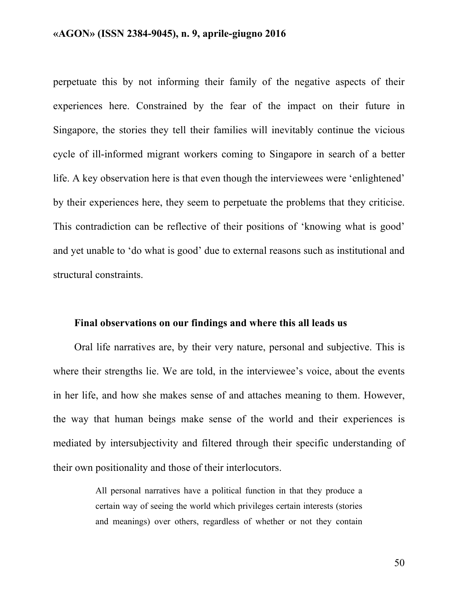perpetuate this by not informing their family of the negative aspects of their experiences here. Constrained by the fear of the impact on their future in Singapore, the stories they tell their families will inevitably continue the vicious cycle of ill-informed migrant workers coming to Singapore in search of a better life. A key observation here is that even though the interviewees were 'enlightened' by their experiences here, they seem to perpetuate the problems that they criticise. This contradiction can be reflective of their positions of 'knowing what is good' and yet unable to 'do what is good' due to external reasons such as institutional and structural constraints.

### **Final observations on our findings and where this all leads us**

Oral life narratives are, by their very nature, personal and subjective. This is where their strengths lie. We are told, in the interviewee's voice, about the events in her life, and how she makes sense of and attaches meaning to them. However, the way that human beings make sense of the world and their experiences is mediated by intersubjectivity and filtered through their specific understanding of their own positionality and those of their interlocutors.

> All personal narratives have a political function in that they produce a certain way of seeing the world which privileges certain interests (stories and meanings) over others, regardless of whether or not they contain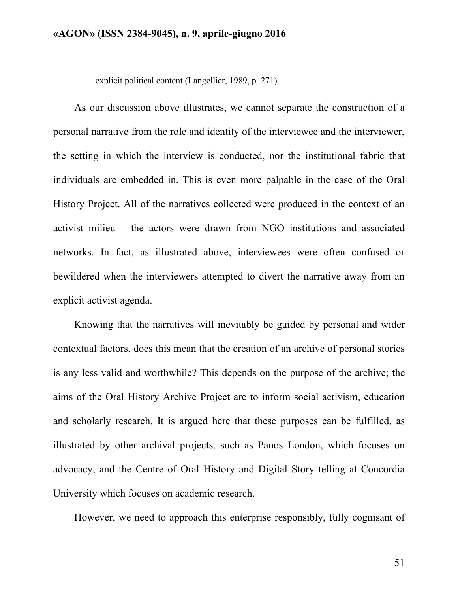explicit political content (Langellier, 1989, p. 271).

As our discussion above illustrates, we cannot separate the construction of a personal narrative from the role and identity of the interviewee and the interviewer, the setting in which the interview is conducted, nor the institutional fabric that individuals are embedded in. This is even more palpable in the case of the Oral History Project. All of the narratives collected were produced in the context of an activist milieu – the actors were drawn from NGO institutions and associated networks. In fact, as illustrated above, interviewees were often confused or bewildered when the interviewers attempted to divert the narrative away from an explicit activist agenda.

Knowing that the narratives will inevitably be guided by personal and wider contextual factors, does this mean that the creation of an archive of personal stories is any less valid and worthwhile? This depends on the purpose of the archive; the aims of the Oral History Archive Project are to inform social activism, education and scholarly research. It is argued here that these purposes can be fulfilled, as illustrated by other archival projects, such as Panos London, which focuses on advocacy, and the Centre of Oral History and Digital Story telling at Concordia University which focuses on academic research.

However, we need to approach this enterprise responsibly, fully cognisant of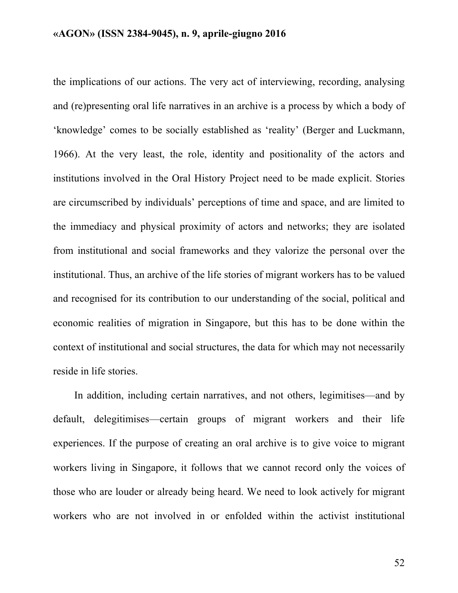the implications of our actions. The very act of interviewing, recording, analysing and (re)presenting oral life narratives in an archive is a process by which a body of 'knowledge' comes to be socially established as 'reality' (Berger and Luckmann, 1966). At the very least, the role, identity and positionality of the actors and institutions involved in the Oral History Project need to be made explicit. Stories are circumscribed by individuals' perceptions of time and space, and are limited to the immediacy and physical proximity of actors and networks; they are isolated from institutional and social frameworks and they valorize the personal over the institutional. Thus, an archive of the life stories of migrant workers has to be valued and recognised for its contribution to our understanding of the social, political and economic realities of migration in Singapore, but this has to be done within the context of institutional and social structures, the data for which may not necessarily reside in life stories.

In addition, including certain narratives, and not others, legimitises—and by default, delegitimises—certain groups of migrant workers and their life experiences. If the purpose of creating an oral archive is to give voice to migrant workers living in Singapore, it follows that we cannot record only the voices of those who are louder or already being heard. We need to look actively for migrant workers who are not involved in or enfolded within the activist institutional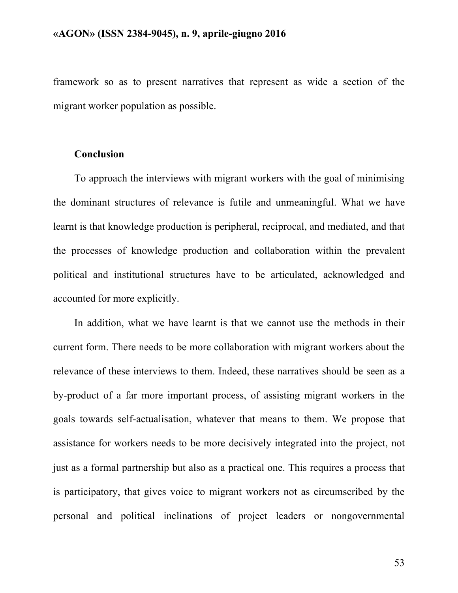framework so as to present narratives that represent as wide a section of the migrant worker population as possible.

# **Conclusion**

To approach the interviews with migrant workers with the goal of minimising the dominant structures of relevance is futile and unmeaningful. What we have learnt is that knowledge production is peripheral, reciprocal, and mediated, and that the processes of knowledge production and collaboration within the prevalent political and institutional structures have to be articulated, acknowledged and accounted for more explicitly.

In addition, what we have learnt is that we cannot use the methods in their current form. There needs to be more collaboration with migrant workers about the relevance of these interviews to them. Indeed, these narratives should be seen as a by-product of a far more important process, of assisting migrant workers in the goals towards self-actualisation, whatever that means to them. We propose that assistance for workers needs to be more decisively integrated into the project, not just as a formal partnership but also as a practical one. This requires a process that is participatory, that gives voice to migrant workers not as circumscribed by the personal and political inclinations of project leaders or nongovernmental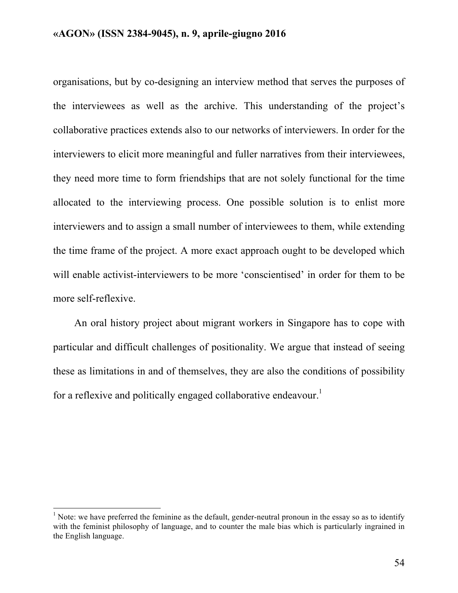organisations, but by co-designing an interview method that serves the purposes of the interviewees as well as the archive. This understanding of the project's collaborative practices extends also to our networks of interviewers. In order for the interviewers to elicit more meaningful and fuller narratives from their interviewees, they need more time to form friendships that are not solely functional for the time allocated to the interviewing process. One possible solution is to enlist more interviewers and to assign a small number of interviewees to them, while extending the time frame of the project. A more exact approach ought to be developed which will enable activist-interviewers to be more 'conscientised' in order for them to be more self-reflexive.

An oral history project about migrant workers in Singapore has to cope with particular and difficult challenges of positionality. We argue that instead of seeing these as limitations in and of themselves, they are also the conditions of possibility for a reflexive and politically engaged collaborative endeavour.<sup>1</sup>

<sup>&</sup>lt;sup>1</sup> Note: we have preferred the feminine as the default, gender-neutral pronoun in the essay so as to identify with the feminist philosophy of language, and to counter the male bias which is particularly ingrained in the English language.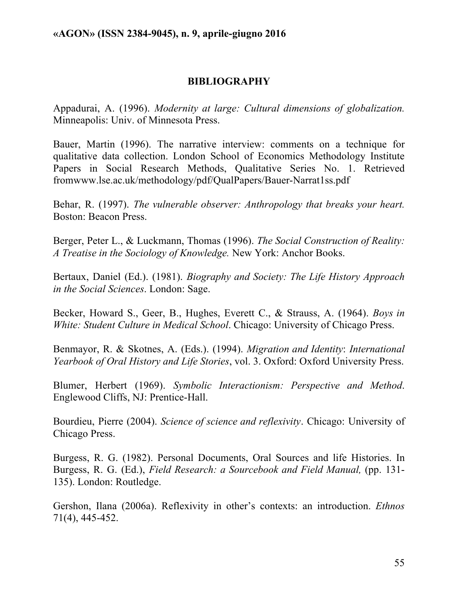# **BIBLIOGRAPHY**

Appadurai, A. (1996). *Modernity at large: Cultural dimensions of globalization.* Minneapolis: Univ. of Minnesota Press.

Bauer, Martin (1996). The narrative interview: comments on a technique for qualitative data collection. London School of Economics Methodology Institute Papers in Social Research Methods, Qualitative Series No. 1. Retrieved fromwww.lse.ac.uk/methodology/pdf/QualPapers/Bauer-Narrat1ss.pdf

Behar, R. (1997). *The vulnerable observer: Anthropology that breaks your heart.* Boston: Beacon Press.

Berger, Peter L., & Luckmann, Thomas (1996). *The Social Construction of Reality: A Treatise in the Sociology of Knowledge.* New York: Anchor Books.

Bertaux, Daniel (Ed.). (1981). *Biography and Society: The Life History Approach in the Social Sciences*. London: Sage.

Becker, Howard S., Geer, B., Hughes, Everett C., & Strauss, A. (1964). *Boys in White: Student Culture in Medical School*. Chicago: University of Chicago Press.

Benmayor, R. & Skotnes, A. (Eds.). (1994). *Migration and Identity*: *International Yearbook of Oral History and Life Stories*, vol. 3. Oxford: Oxford University Press.

Blumer, Herbert (1969). *Symbolic Interactionism: Perspective and Method*. Englewood Cliffs, NJ: Prentice-Hall.

Bourdieu, Pierre (2004). *Science of science and reflexivity*. Chicago: University of Chicago Press.

Burgess, R. G. (1982). Personal Documents, Oral Sources and life Histories. In Burgess, R. G. (Ed.), *Field Research: a Sourcebook and Field Manual,* (pp. 131- 135). London: Routledge.

Gershon, Ilana (2006a). Reflexivity in other's contexts: an introduction. *Ethnos* 71(4), 445-452.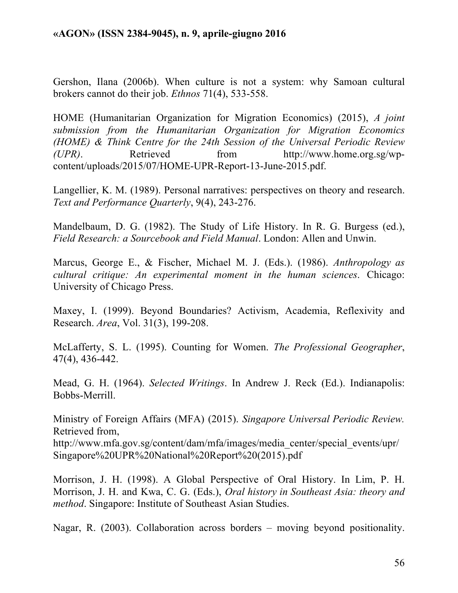Gershon, Ilana (2006b). When culture is not a system: why Samoan cultural brokers cannot do their job. *Ethnos* 71(4), 533-558.

HOME (Humanitarian Organization for Migration Economics) (2015), *A joint submission from the Humanitarian Organization for Migration Economics (HOME) & Think Centre for the 24th Session of the Universal Periodic Review (UPR)*. Retrieved from http://www.home.org.sg/wpcontent/uploads/2015/07/HOME-UPR-Report-13-June-2015.pdf.

Langellier, K. M. (1989). Personal narratives: perspectives on theory and research. *Text and Performance Quarterly*, 9(4), 243-276.

Mandelbaum, D. G. (1982). The Study of Life History. In R. G. Burgess (ed.), *Field Research: a Sourcebook and Field Manual*. London: Allen and Unwin.

Marcus, George E., & Fischer, Michael M. J. (Eds.). (1986). *Anthropology as cultural critique: An experimental moment in the human sciences*. Chicago: University of Chicago Press.

Maxey, I. (1999). Beyond Boundaries? Activism, Academia, Reflexivity and Research. *Area*, Vol. 31(3), 199-208.

McLafferty, S. L. (1995). Counting for Women. *The Professional Geographer*, 47(4), 436-442.

Mead, G. H. (1964). *Selected Writings*. In Andrew J. Reck (Ed.). Indianapolis: Bobbs-Merrill.

Ministry of Foreign Affairs (MFA) (2015). *Singapore Universal Periodic Review.* Retrieved from,

http://www.mfa.gov.sg/content/dam/mfa/images/media\_center/special\_events/upr/ Singapore%20UPR%20National%20Report%20(2015).pdf

Morrison, J. H. (1998). A Global Perspective of Oral History. In Lim, P. H. Morrison, J. H. and Kwa, C. G. (Eds.), *Oral history in Southeast Asia: theory and method*. Singapore: Institute of Southeast Asian Studies.

Nagar, R. (2003). Collaboration across borders – moving beyond positionality.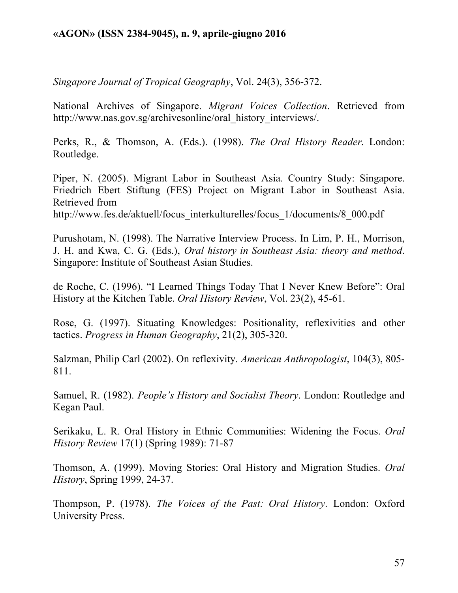*Singapore Journal of Tropical Geography*, Vol. 24(3), 356-372.

National Archives of Singapore. *Migrant Voices Collection*. Retrieved from http://www.nas.gov.sg/archivesonline/oral\_history\_interviews/.

Perks, R., & Thomson, A. (Eds.). (1998). *The Oral History Reader.* London: Routledge.

Piper, N. (2005). Migrant Labor in Southeast Asia. Country Study: Singapore. Friedrich Ebert Stiftung (FES) Project on Migrant Labor in Southeast Asia. Retrieved from http://www.fes.de/aktuell/focus\_interkulturelles/focus\_1/documents/8\_000.pdf

Purushotam, N. (1998). The Narrative Interview Process. In Lim, P. H., Morrison, J. H. and Kwa, C. G. (Eds.), *Oral history in Southeast Asia: theory and method*. Singapore: Institute of Southeast Asian Studies.

de Roche, C. (1996). "I Learned Things Today That I Never Knew Before": Oral History at the Kitchen Table. *Oral History Review*, Vol. 23(2), 45-61.

Rose, G. (1997). Situating Knowledges: Positionality, reflexivities and other tactics. *Progress in Human Geography*, 21(2), 305-320.

Salzman, Philip Carl (2002). On reflexivity. *American Anthropologist*, 104(3), 805- 811.

Samuel, R. (1982). *People's History and Socialist Theory*. London: Routledge and Kegan Paul.

Serikaku, L. R. Oral History in Ethnic Communities: Widening the Focus. *Oral History Review* 17(1) (Spring 1989): 71-87

Thomson, A. (1999). Moving Stories: Oral History and Migration Studies. *Oral History*, Spring 1999, 24-37.

Thompson, P. (1978). *The Voices of the Past: Oral History*. London: Oxford University Press.